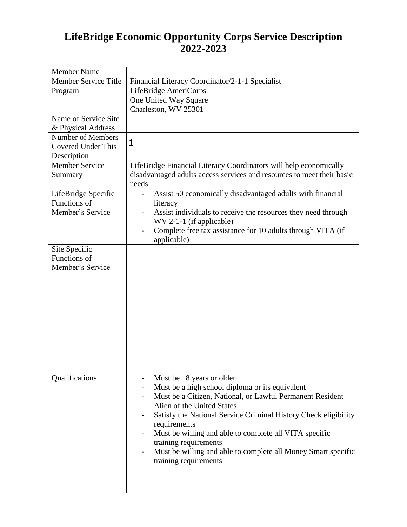## **LifeBridge Economic Opportunity Corps Service Description 2022-2023**

| <b>Member Name</b>        |                                                                              |  |  |
|---------------------------|------------------------------------------------------------------------------|--|--|
| Member Service Title      | Financial Literacy Coordinator/2-1-1 Specialist                              |  |  |
| Program                   | LifeBridge AmeriCorps                                                        |  |  |
|                           | One United Way Square                                                        |  |  |
|                           | Charleston, WV 25301                                                         |  |  |
| Name of Service Site      |                                                                              |  |  |
| & Physical Address        |                                                                              |  |  |
| <b>Number of Members</b>  | 1                                                                            |  |  |
| <b>Covered Under This</b> |                                                                              |  |  |
| Description               |                                                                              |  |  |
| Member Service            | LifeBridge Financial Literacy Coordinators will help economically            |  |  |
| Summary                   | disadvantaged adults access services and resources to meet their basic       |  |  |
|                           | needs.                                                                       |  |  |
| LifeBridge Specific       | Assist 50 economically disadvantaged adults with financial<br>$\overline{a}$ |  |  |
| Functions of              | literacy                                                                     |  |  |
| Member's Service          | Assist individuals to receive the resources they need through                |  |  |
|                           | $WV 2-1-1$ (if applicable)                                                   |  |  |
|                           | Complete free tax assistance for 10 adults through VITA (if                  |  |  |
|                           | applicable)                                                                  |  |  |
| Site Specific             |                                                                              |  |  |
| Functions of              |                                                                              |  |  |
| Member's Service          |                                                                              |  |  |
|                           |                                                                              |  |  |
|                           |                                                                              |  |  |
|                           |                                                                              |  |  |
|                           |                                                                              |  |  |
|                           |                                                                              |  |  |
|                           |                                                                              |  |  |
|                           |                                                                              |  |  |
|                           |                                                                              |  |  |
|                           |                                                                              |  |  |
|                           |                                                                              |  |  |
| Qualifications            | Must be 18 years or older                                                    |  |  |
|                           | Must be a high school diploma or its equivalent                              |  |  |
|                           | Must be a Citizen, National, or Lawful Permanent Resident                    |  |  |
|                           | Alien of the United States                                                   |  |  |
|                           | Satisfy the National Service Criminal History Check eligibility<br>-         |  |  |
|                           | requirements                                                                 |  |  |
|                           | Must be willing and able to complete all VITA specific                       |  |  |
|                           | training requirements                                                        |  |  |
|                           | Must be willing and able to complete all Money Smart specific                |  |  |
|                           | training requirements                                                        |  |  |
|                           |                                                                              |  |  |
|                           |                                                                              |  |  |
|                           |                                                                              |  |  |